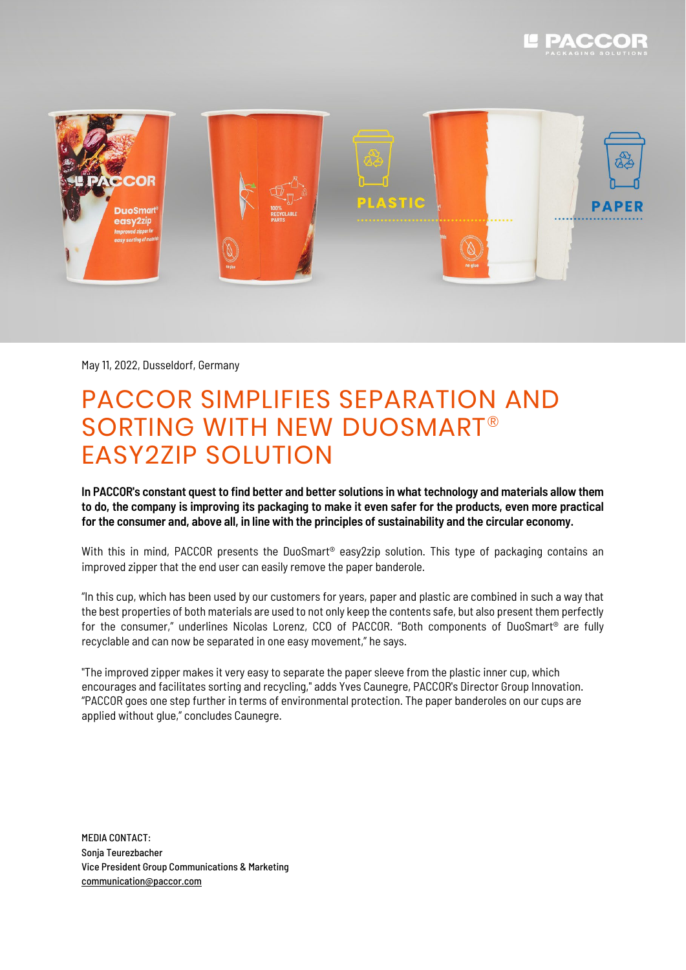



May 11, 2022, Dusseldorf, Germany

## PACCOR SIMPLIFIES SEPARATION AND SORTING WITH NEW DUOSMART® EASY2ZIP SOLUTION

In PACCOR's constant quest to find better and better solutions in what technology and materials allow them to do, the company is improving its packaging to make it even safer for the products, even more practical **for the consumer and, above all, in line with the principles of sustainability and the circular economy.**

With this in mind, PACCOR presents the DuoSmart<sup>®</sup> easy2zip solution. This type of packaging contains an improved zipper that the end user can easily remove the paper banderole.

"In this cup, which has been used by our customers for years, paper and plastic are combined in such a way that the best properties of both materials are used to not only keep the contents safe, but also present them perfectly for the consumer," underlines Nicolas Lorenz, CCO of PACCOR. "Both components of DuoSmart® are fully recyclable and can now be separated in one easy movement," he says.

"The improved zipper makes it very easy to separate the paper sleeve from the plastic inner cup, which encourages and facilitates sorting and recycling," adds Yves Caunegre, PACCOR's Director Group Innovation. "PACCOR goes one step further in terms of environmental protection. The paper banderoles on our cups are applied without glue," concludes Caunegre.

MEDIA CONTACT: Sonja Teurezbacher Vice President Group Communications & Marketing [communication@paccor.com](mailto:communication@paccor.com)